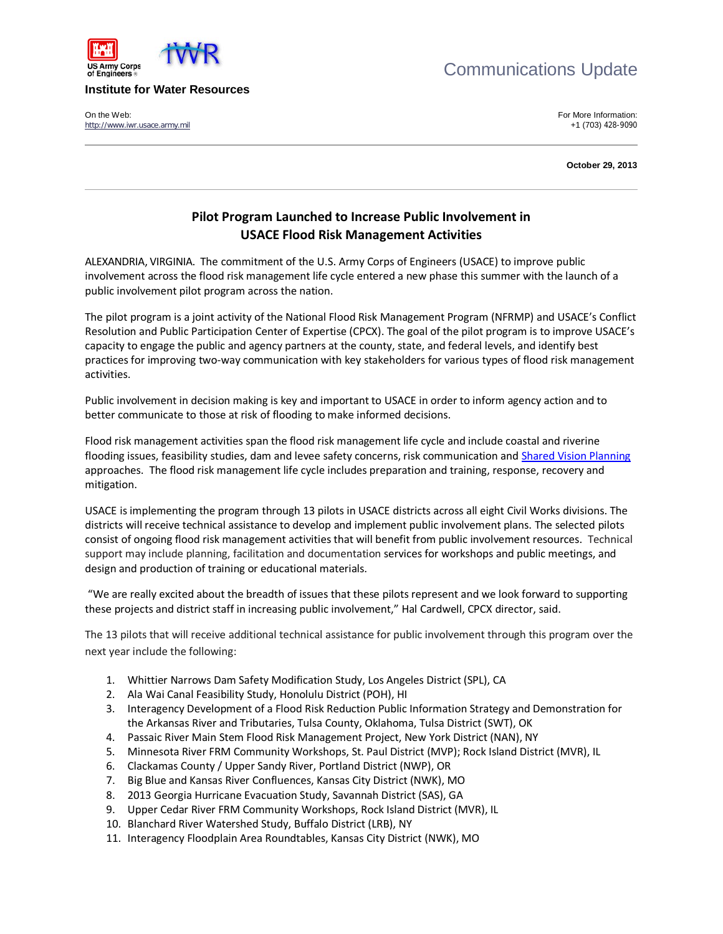



## **Institute for Water Resources**

On the Web:<br>
1703) 428-9090 The Web:<br>
1703) 428-9090 The Web: [http://www.iwr.usace.army.mil](http://www.iwr.usace.army.mil/)

**October 29, 2013**

## **Pilot Program Launched to Increase Public Involvement in USACE Flood Risk Management Activities**

ALEXANDRIA, VIRGINIA. The commitment of the U.S. Army Corps of Engineers (USACE) to improve public involvement across the flood risk management life cycle entered a new phase this summer with the launch of a public involvement pilot program across the nation.

The pilot program is a joint activity of the National Flood Risk Management Program (NFRMP) and USACE's Conflict Resolution and Public Participation Center of Expertise (CPCX). The goal of the pilot program is to improve USACE's capacity to engage the public and agency partners at the county, state, and federal levels, and identify best practices for improving two-way communication with key stakeholders for various types of flood risk management activities.

Public involvement in decision making is key and important to USACE in order to inform agency action and to better communicate to those at risk of flooding to make informed decisions.

Flood risk management activities span the flood risk management life cycle and include coastal and riverine flooding issues, feasibility studies, dam and levee safety concerns, risk communication an[d Shared Vision Planning](http://www.sharedvisionplanning.us/) approaches. The flood risk management life cycle includes preparation and training, response, recovery and mitigation.

USACE is implementing the program through 13 pilots in USACE districts across all eight Civil Works divisions. The districts will receive technical assistance to develop and implement public involvement plans. The selected pilots consist of ongoing flood risk management activities that will benefit from public involvement resources. Technical support may include planning, facilitation and documentation services for workshops and public meetings, and design and production of training or educational materials.

"We are really excited about the breadth of issues that these pilots represent and we look forward to supporting these projects and district staff in increasing public involvement," Hal Cardwell, CPCX director, said.

The 13 pilots that will receive additional technical assistance for public involvement through this program over the next year include the following:

- 1. Whittier Narrows Dam Safety Modification Study, Los Angeles District (SPL), CA
- 2. Ala Wai Canal Feasibility Study, Honolulu District (POH), HI
- 3. Interagency Development of a Flood Risk Reduction Public Information Strategy and Demonstration for the Arkansas River and Tributaries, Tulsa County, Oklahoma, Tulsa District (SWT), OK
- 4. Passaic River Main Stem Flood Risk Management Project, New York District (NAN), NY
- 5. Minnesota River FRM Community Workshops, St. Paul District (MVP); Rock Island District (MVR), IL
- 6. Clackamas County / Upper Sandy River, Portland District (NWP), OR
- 7. Big Blue and Kansas River Confluences, Kansas City District (NWK), MO
- 8. 2013 Georgia Hurricane Evacuation Study, Savannah District (SAS), GA
- 9. Upper Cedar River FRM Community Workshops, Rock Island District (MVR), IL
- 10. Blanchard River Watershed Study, Buffalo District (LRB), NY
- 11. Interagency Floodplain Area Roundtables, Kansas City District (NWK), MO